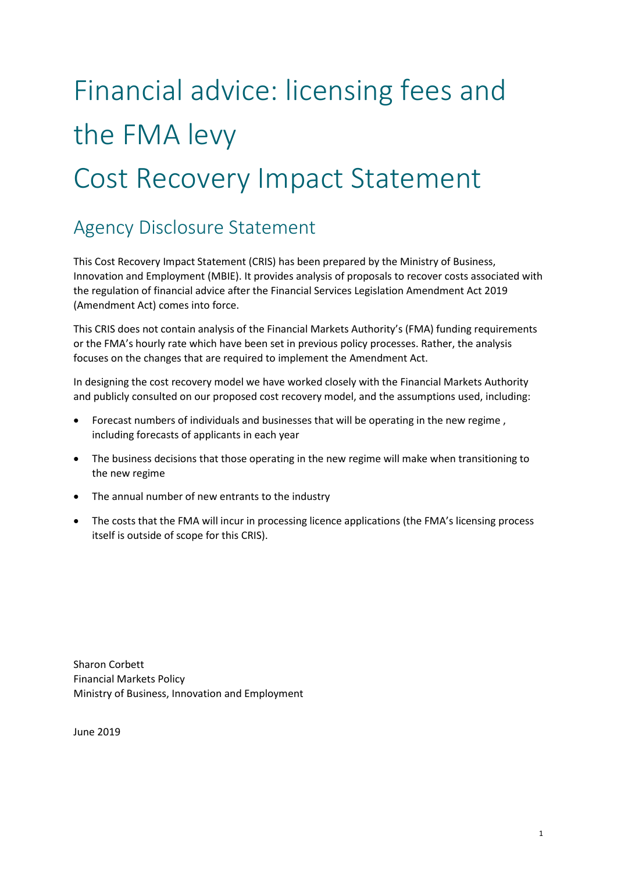# Financial advice: licensing fees and the FMA levy Cost Recovery Impact Statement

### Agency Disclosure Statement

This Cost Recovery Impact Statement (CRIS) has been prepared by the Ministry of Business, Innovation and Employment (MBIE). It provides analysis of proposals to recover costs associated with the regulation of financial advice after the Financial Services Legislation Amendment Act 2019 (Amendment Act) comes into force.

This CRIS does not contain analysis of the Financial Markets Authority's (FMA) funding requirements or the FMA's hourly rate which have been set in previous policy processes. Rather, the analysis focuses on the changes that are required to implement the Amendment Act.

In designing the cost recovery model we have worked closely with the Financial Markets Authority and publicly consulted on our proposed cost recovery model, and the assumptions used, including:

- Forecast numbers of individuals and businesses that will be operating in the new regime , including forecasts of applicants in each year
- The business decisions that those operating in the new regime will make when transitioning to the new regime
- The annual number of new entrants to the industry
- The costs that the FMA will incur in processing licence applications (the FMA's licensing process itself is outside of scope for this CRIS).

Sharon Corbett Financial Markets Policy Ministry of Business, Innovation and Employment

June 2019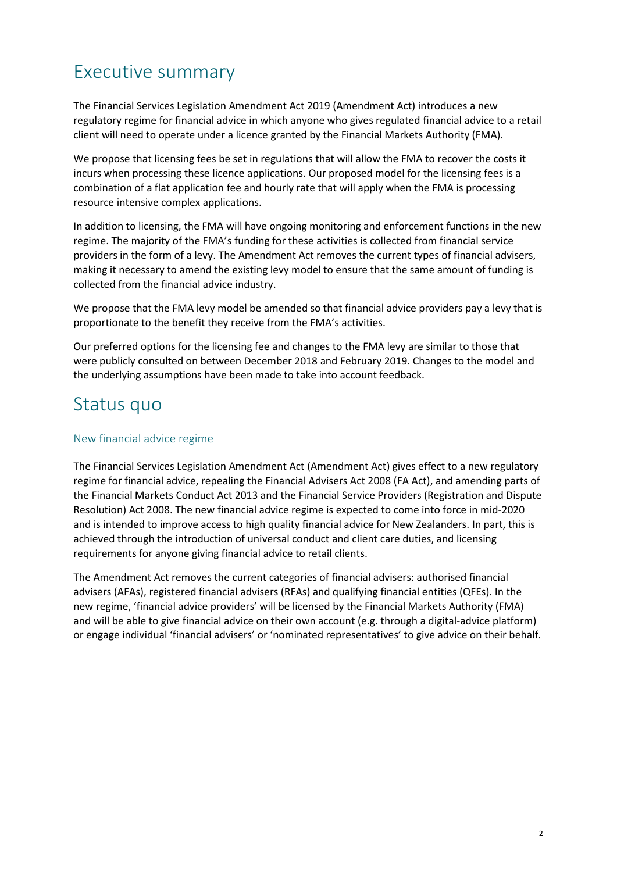### Executive summary

The Financial Services Legislation Amendment Act 2019 (Amendment Act) introduces a new regulatory regime for financial advice in which anyone who gives regulated financial advice to a retail client will need to operate under a licence granted by the Financial Markets Authority (FMA).

We propose that licensing fees be set in regulations that will allow the FMA to recover the costs it incurs when processing these licence applications. Our proposed model for the licensing fees is a combination of a flat application fee and hourly rate that will apply when the FMA is processing resource intensive complex applications.

In addition to licensing, the FMA will have ongoing monitoring and enforcement functions in the new regime. The majority of the FMA's funding for these activities is collected from financial service providers in the form of a levy. The Amendment Act removes the current types of financial advisers, making it necessary to amend the existing levy model to ensure that the same amount of funding is collected from the financial advice industry.

We propose that the FMA levy model be amended so that financial advice providers pay a levy that is proportionate to the benefit they receive from the FMA's activities.

Our preferred options for the licensing fee and changes to the FMA levy are similar to those that were publicly consulted on between December 2018 and February 2019. Changes to the model and the underlying assumptions have been made to take into account feedback.

### Status quo

#### New financial advice regime

The Financial Services Legislation Amendment Act (Amendment Act) gives effect to a new regulatory regime for financial advice, repealing the Financial Advisers Act 2008 (FA Act), and amending parts of the Financial Markets Conduct Act 2013 and the Financial Service Providers (Registration and Dispute Resolution) Act 2008. The new financial advice regime is expected to come into force in mid-2020 and is intended to improve access to high quality financial advice for New Zealanders. In part, this is achieved through the introduction of universal conduct and client care duties, and licensing requirements for anyone giving financial advice to retail clients.

The Amendment Act removes the current categories of financial advisers: authorised financial advisers (AFAs), registered financial advisers (RFAs) and qualifying financial entities (QFEs). In the new regime, 'financial advice providers' will be licensed by the Financial Markets Authority (FMA) and will be able to give financial advice on their own account (e.g. through a digital-advice platform) or engage individual 'financial advisers' or 'nominated representatives' to give advice on their behalf.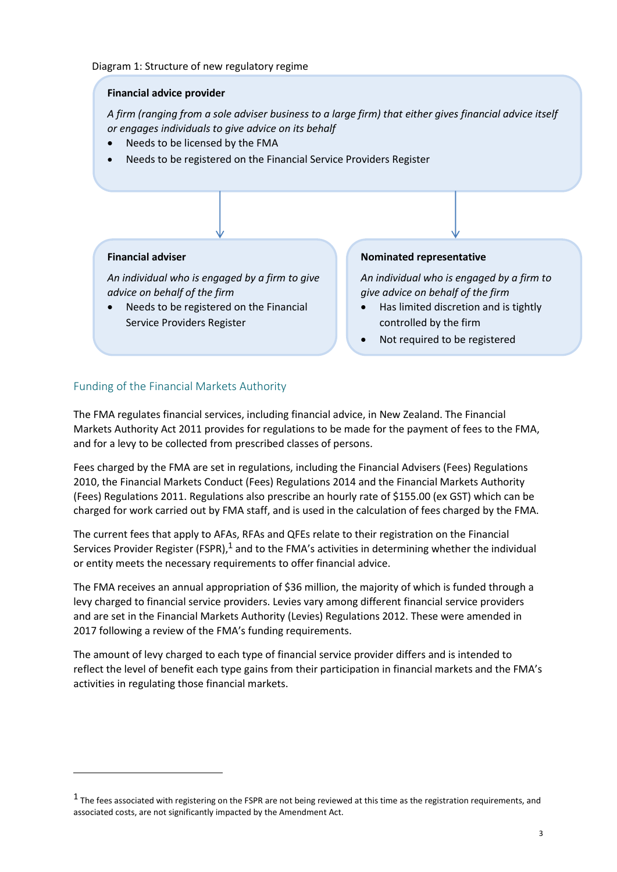#### **Financial advice provider**

*A firm (ranging from a sole adviser business to a large firm) that either gives financial advice itself or engages individuals to give advice on its behalf*

- Needs to be licensed by the FMA
- Needs to be registered on the Financial Service Providers Register

#### **Financial adviser**

*An individual who is engaged by a firm to give advice on behalf of the firm*

 Needs to be registered on the Financial Service Providers Register

#### **Nominated representative**

*An individual who is engaged by a firm to give advice on behalf of the firm*

- Has limited discretion and is tightly controlled by the firm
- Not required to be registered

#### Funding of the Financial Markets Authority

The FMA regulates financial services, including financial advice, in New Zealand. The Financial Markets Authority Act 2011 provides for regulations to be made for the payment of fees to the FMA, and for a levy to be collected from prescribed classes of persons.

Fees charged by the FMA are set in regulations, including the Financial Advisers (Fees) Regulations 2010, the Financial Markets Conduct (Fees) Regulations 2014 and the Financial Markets Authority (Fees) Regulations 2011. Regulations also prescribe an hourly rate of \$155.00 (ex GST) which can be charged for work carried out by FMA staff, and is used in the calculation of fees charged by the FMA.

The current fees that apply to AFAs, RFAs and QFEs relate to their registration on the Financial Services Provider Register (FSPR),<sup>1</sup> and to the FMA's activities in determining whether the individual or entity meets the necessary requirements to offer financial advice.

The FMA receives an annual appropriation of \$36 million, the majority of which is funded through a levy charged to financial service providers. Levies vary among different financial service providers and are set in the Financial Markets Authority (Levies) Regulations 2012. These were amended in 2017 following a review of the FMA's funding requirements.

The amount of levy charged to each type of financial service provider differs and is intended to reflect the level of benefit each type gains from their participation in financial markets and the FMA's activities in regulating those financial markets.

 $^1$  The fees associated with registering on the FSPR are not being reviewed at this time as the registration requirements, and associated costs, are not significantly impacted by the Amendment Act.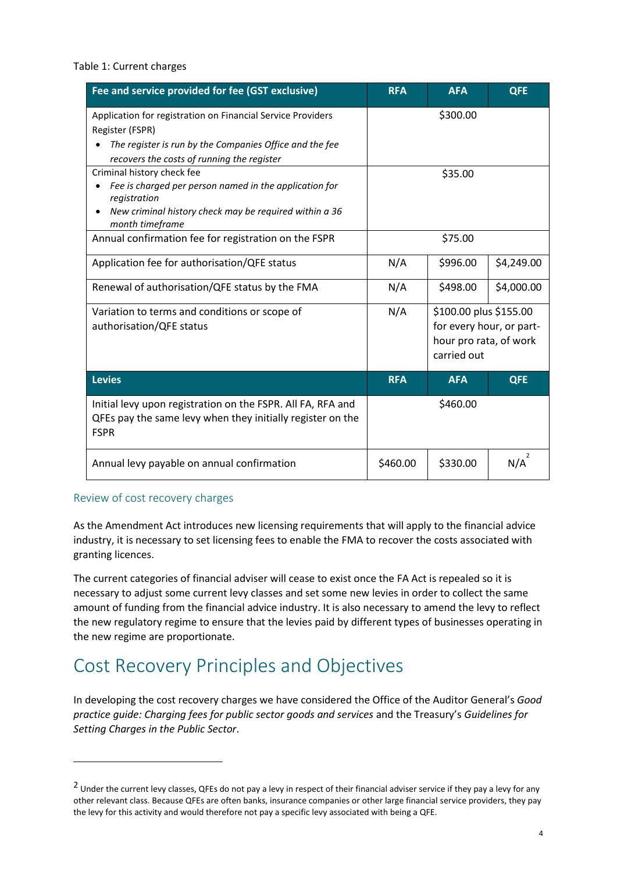#### Table 1: Current charges

| Fee and service provided for fee (GST exclusive)                                                                                                                                        | <b>RFA</b>                                                                                         | <b>AFA</b> | <b>QFE</b> |
|-----------------------------------------------------------------------------------------------------------------------------------------------------------------------------------------|----------------------------------------------------------------------------------------------------|------------|------------|
| Application for registration on Financial Service Providers<br>Register (FSPR)<br>The register is run by the Companies Office and the fee<br>recovers the costs of running the register | \$300.00                                                                                           |            |            |
| Criminal history check fee<br>Fee is charged per person named in the application for<br>registration<br>New criminal history check may be required within a 36<br>month timeframe       | \$35.00                                                                                            |            |            |
| Annual confirmation fee for registration on the FSPR                                                                                                                                    | \$75.00                                                                                            |            |            |
| Application fee for authorisation/QFE status                                                                                                                                            | N/A                                                                                                | \$996.00   | \$4,249.00 |
| Renewal of authorisation/QFE status by the FMA                                                                                                                                          | N/A                                                                                                | \$498.00   | \$4,000.00 |
| Variation to terms and conditions or scope of<br>authorisation/QFE status                                                                                                               | N/A<br>\$100.00 plus \$155.00<br>for every hour, or part-<br>hour pro rata, of work<br>carried out |            |            |
| <b>Levies</b>                                                                                                                                                                           | <b>RFA</b>                                                                                         | <b>AFA</b> | <b>QFE</b> |
| Initial levy upon registration on the FSPR. All FA, RFA and<br>QFEs pay the same levy when they initially register on the<br><b>FSPR</b>                                                | \$460.00                                                                                           |            |            |
| Annual levy payable on annual confirmation                                                                                                                                              | \$460.00                                                                                           | \$330.00   | 2<br>N/A   |

#### Review of cost recovery charges

As the Amendment Act introduces new licensing requirements that will apply to the financial advice industry, it is necessary to set licensing fees to enable the FMA to recover the costs associated with granting licences.

The current categories of financial adviser will cease to exist once the FA Act is repealed so it is necessary to adjust some current levy classes and set some new levies in order to collect the same amount of funding from the financial advice industry. It is also necessary to amend the levy to reflect the new regulatory regime to ensure that the levies paid by different types of businesses operating in the new regime are proportionate.

### Cost Recovery Principles and Objectives

In developing the cost recovery charges we have considered the Office of the Auditor General's *Good practice guide: Charging fees for public sector goods and services* and the Treasury's *Guidelines for Setting Charges in the Public Sector*.

<sup>&</sup>lt;sup>2</sup> Under the current levy classes, QFEs do not pay a levy in respect of their financial adviser service if they pay a levy for any other relevant class. Because QFEs are often banks, insurance companies or other large financial service providers, they pay the levy for this activity and would therefore not pay a specific levy associated with being a QFE.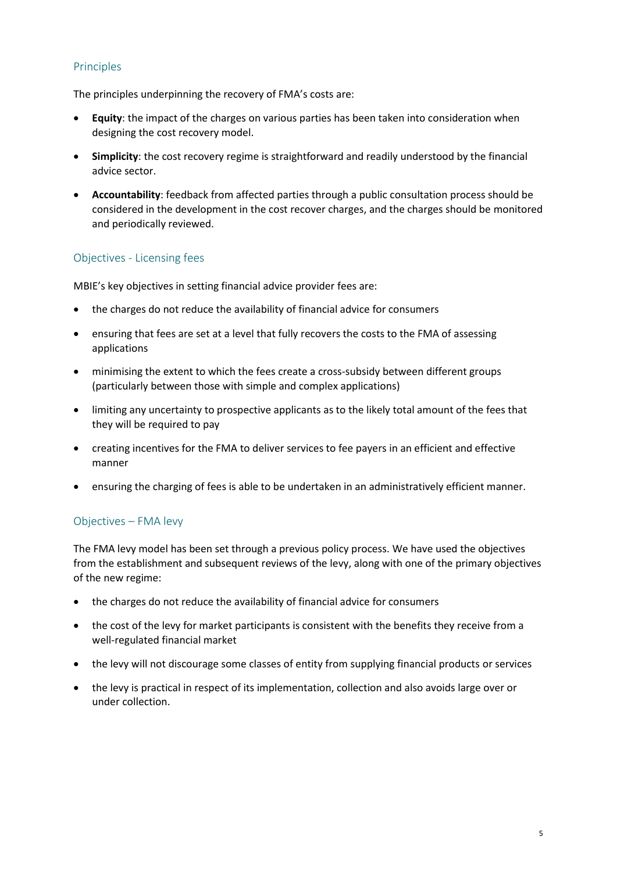#### Principles

The principles underpinning the recovery of FMA's costs are:

- **Equity**: the impact of the charges on various parties has been taken into consideration when designing the cost recovery model.
- **Simplicity**: the cost recovery regime is straightforward and readily understood by the financial advice sector.
- **Accountability**: feedback from affected parties through a public consultation process should be considered in the development in the cost recover charges, and the charges should be monitored and periodically reviewed.

#### Objectives - Licensing fees

MBIE's key objectives in setting financial advice provider fees are:

- the charges do not reduce the availability of financial advice for consumers
- ensuring that fees are set at a level that fully recovers the costs to the FMA of assessing applications
- minimising the extent to which the fees create a cross-subsidy between different groups (particularly between those with simple and complex applications)
- limiting any uncertainty to prospective applicants as to the likely total amount of the fees that they will be required to pay
- creating incentives for the FMA to deliver services to fee payers in an efficient and effective manner
- ensuring the charging of fees is able to be undertaken in an administratively efficient manner.

#### Objectives – FMA levy

The FMA levy model has been set through a previous policy process. We have used the objectives from the establishment and subsequent reviews of the levy, along with one of the primary objectives of the new regime:

- the charges do not reduce the availability of financial advice for consumers
- the cost of the levy for market participants is consistent with the benefits they receive from a well-regulated financial market
- the levy will not discourage some classes of entity from supplying financial products or services
- the levy is practical in respect of its implementation, collection and also avoids large over or under collection.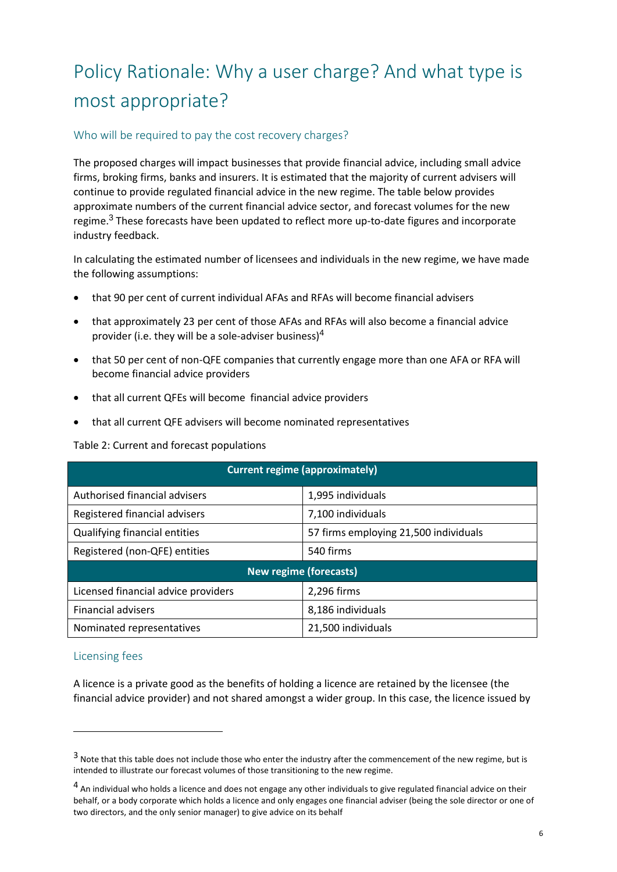## Policy Rationale: Why a user charge? And what type is most appropriate?

#### Who will be required to pay the cost recovery charges?

The proposed charges will impact businesses that provide financial advice, including small advice firms, broking firms, banks and insurers. It is estimated that the majority of current advisers will continue to provide regulated financial advice in the new regime. The table below provides approximate numbers of the current financial advice sector, and forecast volumes for the new regime.<sup>3</sup> These forecasts have been updated to reflect more up-to-date figures and incorporate industry feedback.

In calculating the estimated number of licensees and individuals in the new regime, we have made the following assumptions:

- that 90 per cent of current individual AFAs and RFAs will become financial advisers
- that approximately 23 per cent of those AFAs and RFAs will also become a financial advice provider (i.e. they will be a sole-adviser business)<sup>4</sup>
- that 50 per cent of non-QFE companies that currently engage more than one AFA or RFA will become financial advice providers
- that all current QFEs will become financial advice providers
- that all current QFE advisers will become nominated representatives

#### Table 2: Current and forecast populations

| <b>Current regime (approximately)</b> |                                       |  |  |
|---------------------------------------|---------------------------------------|--|--|
| Authorised financial advisers         | 1,995 individuals                     |  |  |
| Registered financial advisers         | 7,100 individuals                     |  |  |
| Qualifying financial entities         | 57 firms employing 21,500 individuals |  |  |
| Registered (non-QFE) entities         | 540 firms                             |  |  |
| <b>New regime (forecasts)</b>         |                                       |  |  |
| Licensed financial advice providers   | 2,296 firms                           |  |  |
| <b>Financial advisers</b>             | 8,186 individuals                     |  |  |
| Nominated representatives             | 21,500 individuals                    |  |  |

#### Licensing fees

 $\overline{a}$ 

A licence is a private good as the benefits of holding a licence are retained by the licensee (the financial advice provider) and not shared amongst a wider group. In this case, the licence issued by

 $3$  Note that this table does not include those who enter the industry after the commencement of the new regime, but is intended to illustrate our forecast volumes of those transitioning to the new regime.

<sup>&</sup>lt;sup>4</sup> An individual who holds a licence and does not engage any other individuals to give regulated financial advice on their behalf, or a body corporate which holds a licence and only engages one financial adviser (being the sole director or one of two directors, and the only senior manager) to give advice on its behalf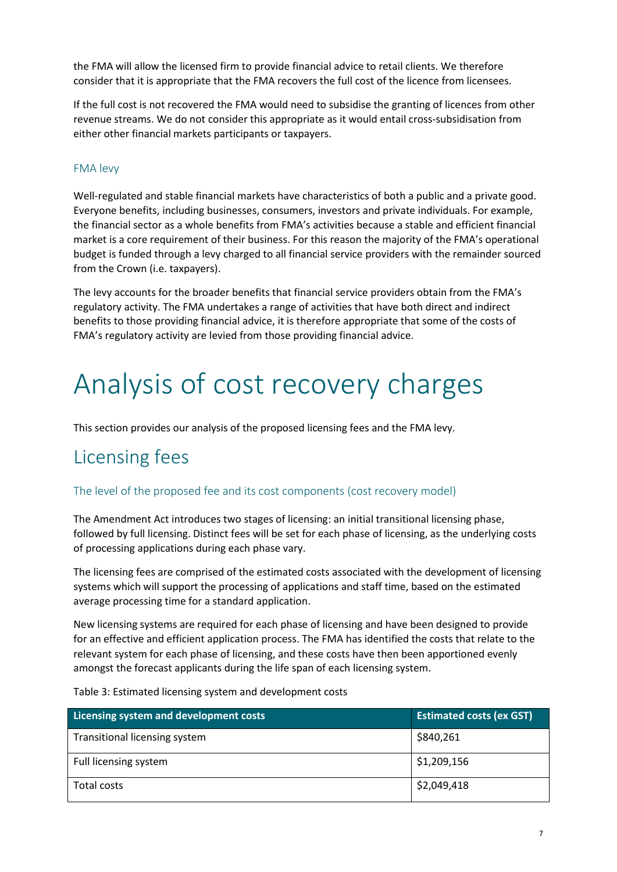the FMA will allow the licensed firm to provide financial advice to retail clients. We therefore consider that it is appropriate that the FMA recovers the full cost of the licence from licensees.

If the full cost is not recovered the FMA would need to subsidise the granting of licences from other revenue streams. We do not consider this appropriate as it would entail cross-subsidisation from either other financial markets participants or taxpayers.

#### FMA levy

Well-regulated and stable financial markets have characteristics of both a public and a private good. Everyone benefits, including businesses, consumers, investors and private individuals. For example, the financial sector as a whole benefits from FMA's activities because a stable and efficient financial market is a core requirement of their business. For this reason the majority of the FMA's operational budget is funded through a levy charged to all financial service providers with the remainder sourced from the Crown (i.e. taxpayers).

The levy accounts for the broader benefits that financial service providers obtain from the FMA's regulatory activity. The FMA undertakes a range of activities that have both direct and indirect benefits to those providing financial advice, it is therefore appropriate that some of the costs of FMA's regulatory activity are levied from those providing financial advice.

## Analysis of cost recovery charges

This section provides our analysis of the proposed licensing fees and the FMA levy.

### Licensing fees

#### The level of the proposed fee and its cost components (cost recovery model)

The Amendment Act introduces two stages of licensing: an initial transitional licensing phase, followed by full licensing. Distinct fees will be set for each phase of licensing, as the underlying costs of processing applications during each phase vary.

The licensing fees are comprised of the estimated costs associated with the development of licensing systems which will support the processing of applications and staff time, based on the estimated average processing time for a standard application.

New licensing systems are required for each phase of licensing and have been designed to provide for an effective and efficient application process. The FMA has identified the costs that relate to the relevant system for each phase of licensing, and these costs have then been apportioned evenly amongst the forecast applicants during the life span of each licensing system.

Table 3: Estimated licensing system and development costs

| Licensing system and development costs | <b>Estimated costs (ex GST)</b> |
|----------------------------------------|---------------------------------|
| Transitional licensing system          | \$840,261                       |
| Full licensing system                  | \$1,209,156                     |
| Total costs                            | \$2,049,418                     |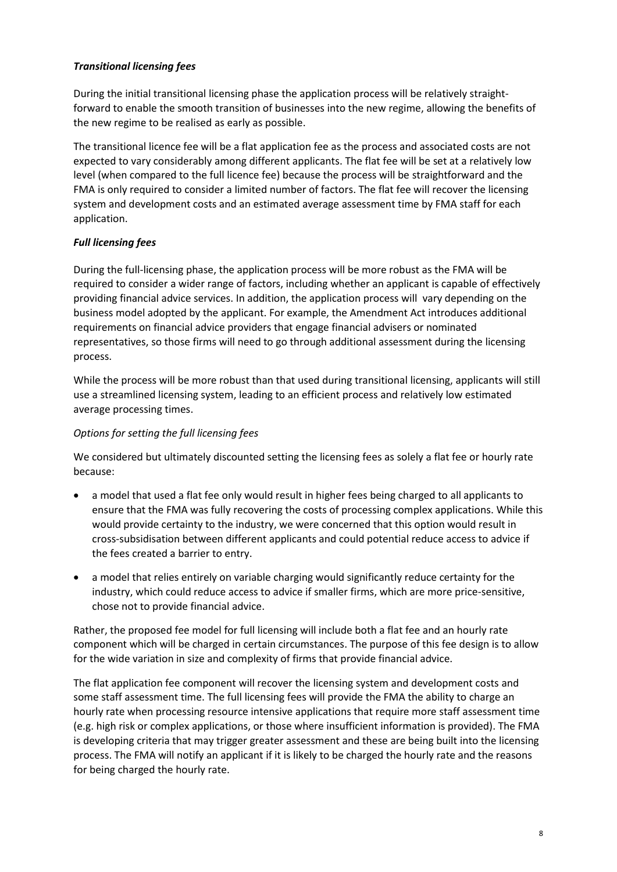#### *Transitional licensing fees*

During the initial transitional licensing phase the application process will be relatively straightforward to enable the smooth transition of businesses into the new regime, allowing the benefits of the new regime to be realised as early as possible.

The transitional licence fee will be a flat application fee as the process and associated costs are not expected to vary considerably among different applicants. The flat fee will be set at a relatively low level (when compared to the full licence fee) because the process will be straightforward and the FMA is only required to consider a limited number of factors. The flat fee will recover the licensing system and development costs and an estimated average assessment time by FMA staff for each application.

#### *Full licensing fees*

During the full-licensing phase, the application process will be more robust as the FMA will be required to consider a wider range of factors, including whether an applicant is capable of effectively providing financial advice services. In addition, the application process will vary depending on the business model adopted by the applicant. For example, the Amendment Act introduces additional requirements on financial advice providers that engage financial advisers or nominated representatives, so those firms will need to go through additional assessment during the licensing process.

While the process will be more robust than that used during transitional licensing, applicants will still use a streamlined licensing system, leading to an efficient process and relatively low estimated average processing times.

#### *Options for setting the full licensing fees*

We considered but ultimately discounted setting the licensing fees as solely a flat fee or hourly rate because:

- a model that used a flat fee only would result in higher fees being charged to all applicants to ensure that the FMA was fully recovering the costs of processing complex applications. While this would provide certainty to the industry, we were concerned that this option would result in cross-subsidisation between different applicants and could potential reduce access to advice if the fees created a barrier to entry.
- a model that relies entirely on variable charging would significantly reduce certainty for the industry, which could reduce access to advice if smaller firms, which are more price-sensitive, chose not to provide financial advice.

Rather, the proposed fee model for full licensing will include both a flat fee and an hourly rate component which will be charged in certain circumstances. The purpose of this fee design is to allow for the wide variation in size and complexity of firms that provide financial advice.

The flat application fee component will recover the licensing system and development costs and some staff assessment time. The full licensing fees will provide the FMA the ability to charge an hourly rate when processing resource intensive applications that require more staff assessment time (e.g. high risk or complex applications, or those where insufficient information is provided). The FMA is developing criteria that may trigger greater assessment and these are being built into the licensing process. The FMA will notify an applicant if it is likely to be charged the hourly rate and the reasons for being charged the hourly rate.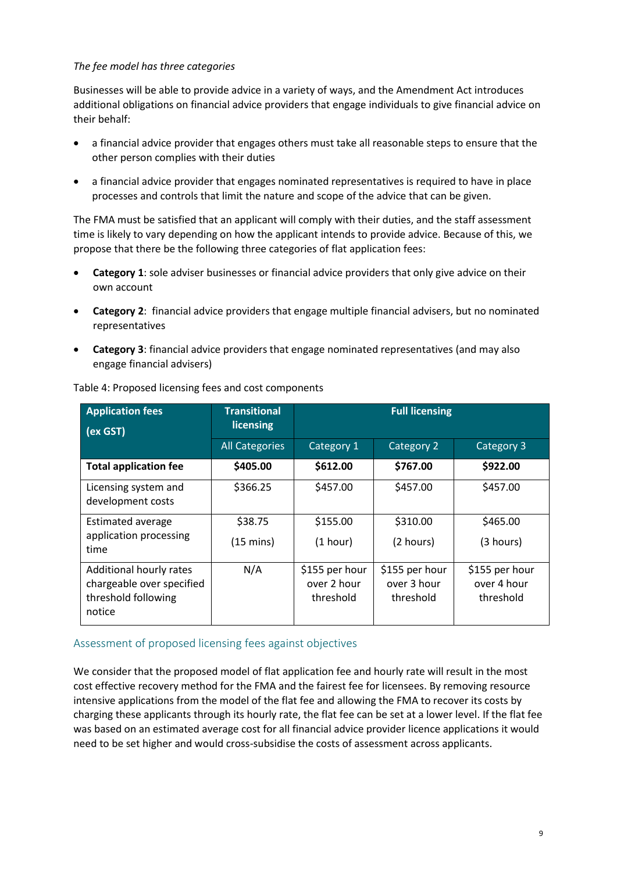#### *The fee model has three categories*

Businesses will be able to provide advice in a variety of ways, and the Amendment Act introduces additional obligations on financial advice providers that engage individuals to give financial advice on their behalf:

- a financial advice provider that engages others must take all reasonable steps to ensure that the other person complies with their duties
- a financial advice provider that engages nominated representatives is required to have in place processes and controls that limit the nature and scope of the advice that can be given.

The FMA must be satisfied that an applicant will comply with their duties, and the staff assessment time is likely to vary depending on how the applicant intends to provide advice. Because of this, we propose that there be the following three categories of flat application fees:

- **Category 1**: sole adviser businesses or financial advice providers that only give advice on their own account
- **Category 2**: financial advice providers that engage multiple financial advisers, but no nominated representatives
- **Category 3**: financial advice providers that engage nominated representatives (and may also engage financial advisers)

| <b>Application fees</b><br>(ex GST)                                                   | <b>Transitional</b><br>licensing | <b>Full licensing</b>                      |                                            |                                            |
|---------------------------------------------------------------------------------------|----------------------------------|--------------------------------------------|--------------------------------------------|--------------------------------------------|
|                                                                                       | <b>All Categories</b>            | Category 1                                 | Category 2                                 | Category 3                                 |
| <b>Total application fee</b>                                                          | \$405.00                         | \$612.00                                   | \$767.00                                   | \$922.00                                   |
| Licensing system and<br>development costs                                             | \$366.25                         | \$457.00                                   | \$457.00                                   | \$457.00                                   |
| Estimated average                                                                     | \$38.75                          | \$155.00                                   | \$310.00                                   | \$465.00                                   |
| application processing<br>time                                                        | $(15 \text{ mins})$              | (1 hour)                                   | (2 hours)                                  | (3 hours)                                  |
| Additional hourly rates<br>chargeable over specified<br>threshold following<br>notice | N/A                              | \$155 per hour<br>over 2 hour<br>threshold | \$155 per hour<br>over 3 hour<br>threshold | \$155 per hour<br>over 4 hour<br>threshold |

Table 4: Proposed licensing fees and cost components

#### Assessment of proposed licensing fees against objectives

We consider that the proposed model of flat application fee and hourly rate will result in the most cost effective recovery method for the FMA and the fairest fee for licensees. By removing resource intensive applications from the model of the flat fee and allowing the FMA to recover its costs by charging these applicants through its hourly rate, the flat fee can be set at a lower level. If the flat fee was based on an estimated average cost for all financial advice provider licence applications it would need to be set higher and would cross-subsidise the costs of assessment across applicants.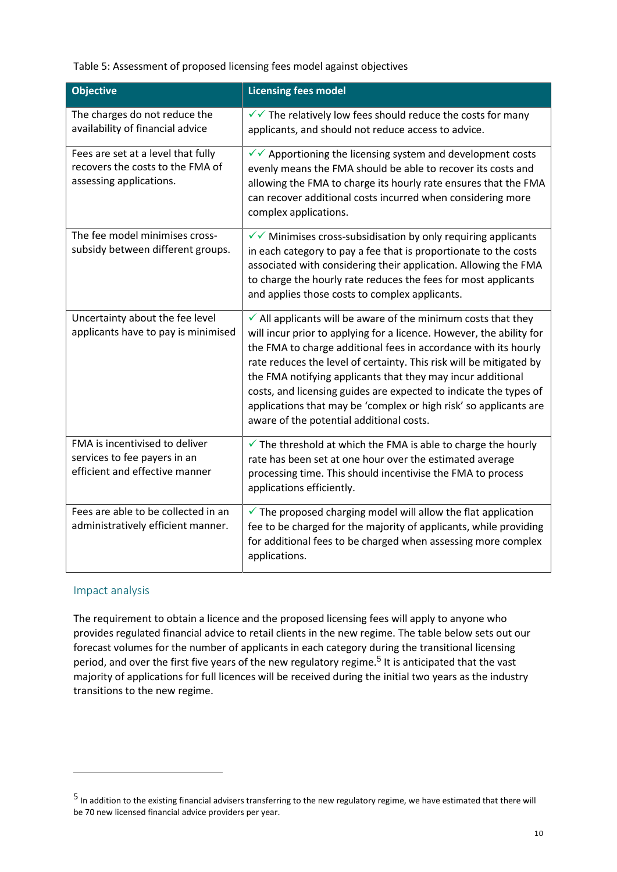#### Table 5: Assessment of proposed licensing fees model against objectives

| <b>Objective</b>                                                                                  | <b>Licensing fees model</b>                                                                                                                                                                                                                                                                                                                                                                                                                                                                                                                     |
|---------------------------------------------------------------------------------------------------|-------------------------------------------------------------------------------------------------------------------------------------------------------------------------------------------------------------------------------------------------------------------------------------------------------------------------------------------------------------------------------------------------------------------------------------------------------------------------------------------------------------------------------------------------|
| The charges do not reduce the<br>availability of financial advice                                 | $\sqrt{\sqrt{}}$ The relatively low fees should reduce the costs for many<br>applicants, and should not reduce access to advice.                                                                                                                                                                                                                                                                                                                                                                                                                |
| Fees are set at a level that fully<br>recovers the costs to the FMA of<br>assessing applications. | $\checkmark$ Apportioning the licensing system and development costs<br>evenly means the FMA should be able to recover its costs and<br>allowing the FMA to charge its hourly rate ensures that the FMA<br>can recover additional costs incurred when considering more<br>complex applications.                                                                                                                                                                                                                                                 |
| The fee model minimises cross-<br>subsidy between different groups.                               | $\checkmark$ Minimises cross-subsidisation by only requiring applicants<br>in each category to pay a fee that is proportionate to the costs<br>associated with considering their application. Allowing the FMA<br>to charge the hourly rate reduces the fees for most applicants<br>and applies those costs to complex applicants.                                                                                                                                                                                                              |
| Uncertainty about the fee level<br>applicants have to pay is minimised                            | $\checkmark$ All applicants will be aware of the minimum costs that they<br>will incur prior to applying for a licence. However, the ability for<br>the FMA to charge additional fees in accordance with its hourly<br>rate reduces the level of certainty. This risk will be mitigated by<br>the FMA notifying applicants that they may incur additional<br>costs, and licensing guides are expected to indicate the types of<br>applications that may be 'complex or high risk' so applicants are<br>aware of the potential additional costs. |
| FMA is incentivised to deliver<br>services to fee payers in an<br>efficient and effective manner  | $\checkmark$ The threshold at which the FMA is able to charge the hourly<br>rate has been set at one hour over the estimated average<br>processing time. This should incentivise the FMA to process<br>applications efficiently.                                                                                                                                                                                                                                                                                                                |
| Fees are able to be collected in an<br>administratively efficient manner.                         | $\checkmark$ The proposed charging model will allow the flat application<br>fee to be charged for the majority of applicants, while providing<br>for additional fees to be charged when assessing more complex<br>applications.                                                                                                                                                                                                                                                                                                                 |

#### Impact analysis

The requirement to obtain a licence and the proposed licensing fees will apply to anyone who provides regulated financial advice to retail clients in the new regime. The table below sets out our forecast volumes for the number of applicants in each category during the transitional licensing period, and over the first five years of the new regulatory regime.<sup>5</sup> It is anticipated that the vast majority of applications for full licences will be received during the initial two years as the industry transitions to the new regime.

<sup>&</sup>lt;sup>5</sup> In addition to the existing financial advisers transferring to the new regulatory regime, we have estimated that there will be 70 new licensed financial advice providers per year.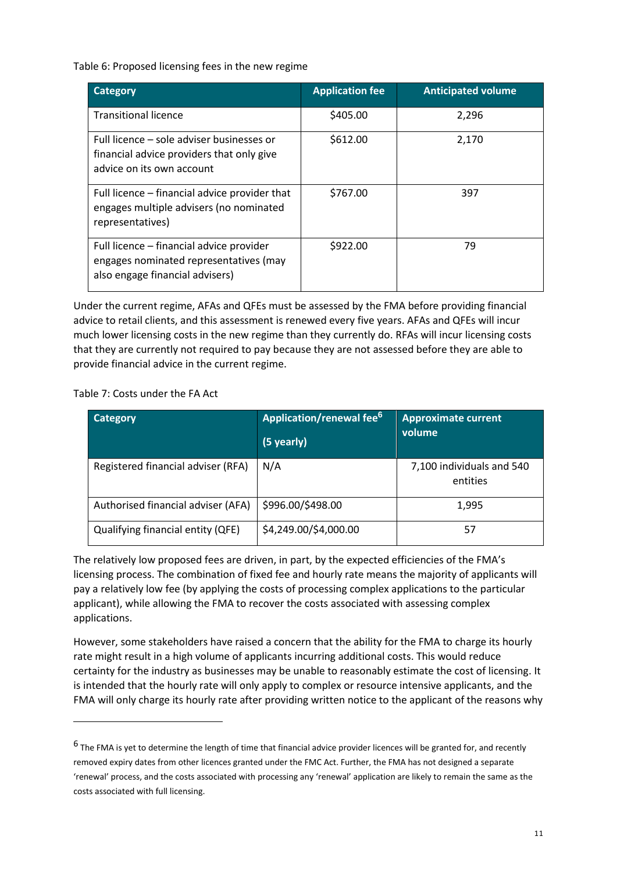Table 6: Proposed licensing fees in the new regime

| Category                                                                                                              | <b>Application fee</b> | <b>Anticipated volume</b> |
|-----------------------------------------------------------------------------------------------------------------------|------------------------|---------------------------|
| <b>Transitional licence</b>                                                                                           | \$405.00               | 2,296                     |
| Full licence – sole adviser businesses or<br>financial advice providers that only give<br>advice on its own account   | \$612.00               | 2,170                     |
| Full licence – financial advice provider that<br>engages multiple advisers (no nominated<br>representatives)          | \$767.00               | 397                       |
| Full licence – financial advice provider<br>engages nominated representatives (may<br>also engage financial advisers) | \$922.00               | 79                        |

Under the current regime, AFAs and QFEs must be assessed by the FMA before providing financial advice to retail clients, and this assessment is renewed every five years. AFAs and QFEs will incur much lower licensing costs in the new regime than they currently do. RFAs will incur licensing costs that they are currently not required to pay because they are not assessed before they are able to provide financial advice in the current regime.

Table 7: Costs under the FA Act

 $\overline{a}$ 

| <b>Category</b>                    | Application/renewal fee <sup>6</sup><br>(5 yearly) | <b>Approximate current</b><br>volume  |
|------------------------------------|----------------------------------------------------|---------------------------------------|
| Registered financial adviser (RFA) | N/A                                                | 7,100 individuals and 540<br>entities |
| Authorised financial adviser (AFA) | \$996.00/\$498.00                                  | 1,995                                 |
| Qualifying financial entity (QFE)  | \$4,249.00/\$4,000.00                              | 57                                    |

The relatively low proposed fees are driven, in part, by the expected efficiencies of the FMA's licensing process. The combination of fixed fee and hourly rate means the majority of applicants will pay a relatively low fee (by applying the costs of processing complex applications to the particular applicant), while allowing the FMA to recover the costs associated with assessing complex applications.

However, some stakeholders have raised a concern that the ability for the FMA to charge its hourly rate might result in a high volume of applicants incurring additional costs. This would reduce certainty for the industry as businesses may be unable to reasonably estimate the cost of licensing. It is intended that the hourly rate will only apply to complex or resource intensive applicants, and the FMA will only charge its hourly rate after providing written notice to the applicant of the reasons why

 $^6$  The FMA is yet to determine the length of time that financial advice provider licences will be granted for, and recently removed expiry dates from other licences granted under the FMC Act. Further, the FMA has not designed a separate 'renewal' process, and the costs associated with processing any 'renewal' application are likely to remain the same as the costs associated with full licensing.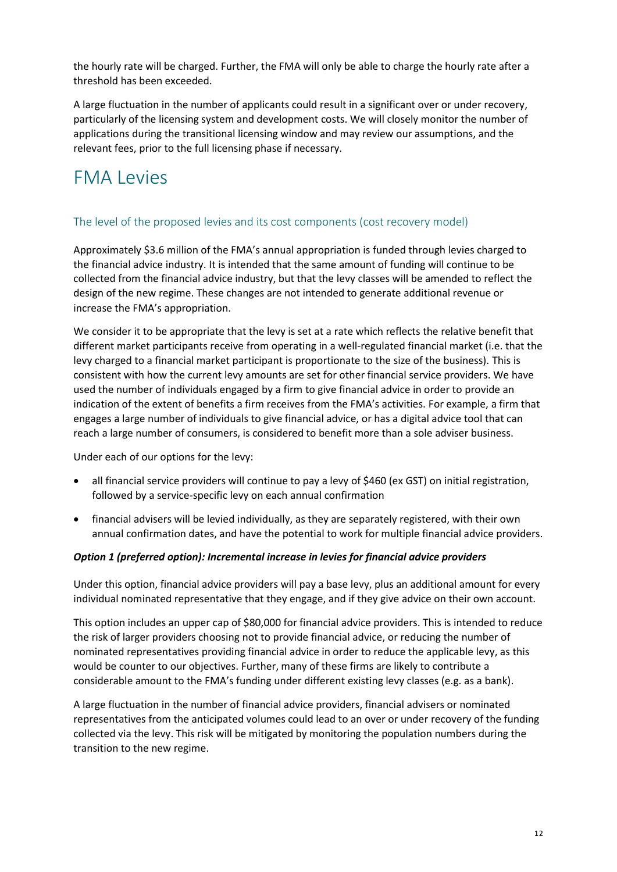the hourly rate will be charged. Further, the FMA will only be able to charge the hourly rate after a threshold has been exceeded.

A large fluctuation in the number of applicants could result in a significant over or under recovery, particularly of the licensing system and development costs. We will closely monitor the number of applications during the transitional licensing window and may review our assumptions, and the relevant fees, prior to the full licensing phase if necessary.

### FMA Levies

#### The level of the proposed levies and its cost components (cost recovery model)

Approximately \$3.6 million of the FMA's annual appropriation is funded through levies charged to the financial advice industry. It is intended that the same amount of funding will continue to be collected from the financial advice industry, but that the levy classes will be amended to reflect the design of the new regime. These changes are not intended to generate additional revenue or increase the FMA's appropriation.

We consider it to be appropriate that the levy is set at a rate which reflects the relative benefit that different market participants receive from operating in a well-regulated financial market (i.e. that the levy charged to a financial market participant is proportionate to the size of the business). This is consistent with how the current levy amounts are set for other financial service providers. We have used the number of individuals engaged by a firm to give financial advice in order to provide an indication of the extent of benefits a firm receives from the FMA's activities. For example, a firm that engages a large number of individuals to give financial advice, or has a digital advice tool that can reach a large number of consumers, is considered to benefit more than a sole adviser business.

Under each of our options for the levy:

- all financial service providers will continue to pay a levy of \$460 (ex GST) on initial registration, followed by a service-specific levy on each annual confirmation
- financial advisers will be levied individually, as they are separately registered, with their own annual confirmation dates, and have the potential to work for multiple financial advice providers.

#### *Option 1 (preferred option): Incremental increase in levies for financial advice providers*

Under this option, financial advice providers will pay a base levy, plus an additional amount for every individual nominated representative that they engage, and if they give advice on their own account.

This option includes an upper cap of \$80,000 for financial advice providers. This is intended to reduce the risk of larger providers choosing not to provide financial advice, or reducing the number of nominated representatives providing financial advice in order to reduce the applicable levy, as this would be counter to our objectives. Further, many of these firms are likely to contribute a considerable amount to the FMA's funding under different existing levy classes (e.g. as a bank).

A large fluctuation in the number of financial advice providers, financial advisers or nominated representatives from the anticipated volumes could lead to an over or under recovery of the funding collected via the levy. This risk will be mitigated by monitoring the population numbers during the transition to the new regime.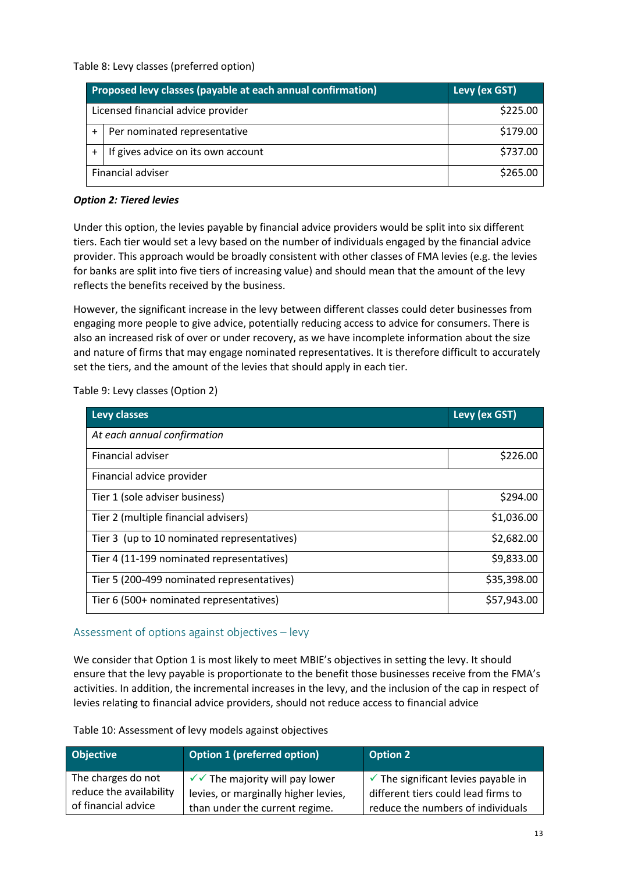Table 8: Levy classes (preferred option)

|                   | Proposed levy classes (payable at each annual confirmation) | Levy (ex GST) |
|-------------------|-------------------------------------------------------------|---------------|
|                   | Licensed financial advice provider                          | \$225.00      |
|                   | Per nominated representative                                | \$179.00      |
|                   | If gives advice on its own account                          | \$737.00      |
| Financial adviser |                                                             | \$265.00      |

#### *Option 2: Tiered levies*

Under this option, the levies payable by financial advice providers would be split into six different tiers. Each tier would set a levy based on the number of individuals engaged by the financial advice provider. This approach would be broadly consistent with other classes of FMA levies (e.g. the levies for banks are split into five tiers of increasing value) and should mean that the amount of the levy reflects the benefits received by the business.

However, the significant increase in the levy between different classes could deter businesses from engaging more people to give advice, potentially reducing access to advice for consumers. There is also an increased risk of over or under recovery, as we have incomplete information about the size and nature of firms that may engage nominated representatives. It is therefore difficult to accurately set the tiers, and the amount of the levies that should apply in each tier.

Table 9: Levy classes (Option 2)

| Levy classes                                | Levy (ex GST) |
|---------------------------------------------|---------------|
| At each annual confirmation                 |               |
| Financial adviser                           | \$226.00      |
| Financial advice provider                   |               |
| Tier 1 (sole adviser business)              | \$294.00      |
| Tier 2 (multiple financial advisers)        | \$1,036.00    |
| Tier 3 (up to 10 nominated representatives) | \$2,682.00    |
| Tier 4 (11-199 nominated representatives)   | \$9,833.00    |
| Tier 5 (200-499 nominated representatives)  | \$35,398.00   |
| Tier 6 (500+ nominated representatives)     | \$57,943.00   |

#### Assessment of options against objectives – levy

We consider that Option 1 is most likely to meet MBIE's objectives in setting the levy. It should ensure that the levy payable is proportionate to the benefit those businesses receive from the FMA's activities. In addition, the incremental increases in the levy, and the inclusion of the cap in respect of levies relating to financial advice providers, should not reduce access to financial advice

Table 10: Assessment of levy models against objectives

| <b>Objective</b>        | <b>Option 1 (preferred option)</b>           | <b>Option 2</b>                                |
|-------------------------|----------------------------------------------|------------------------------------------------|
| The charges do not      | $\sqrt{\sqrt{}}$ The majority will pay lower | $\checkmark$ The significant levies payable in |
| reduce the availability | levies, or marginally higher levies,         | different tiers could lead firms to            |
| of financial advice     | than under the current regime.               | reduce the numbers of individuals              |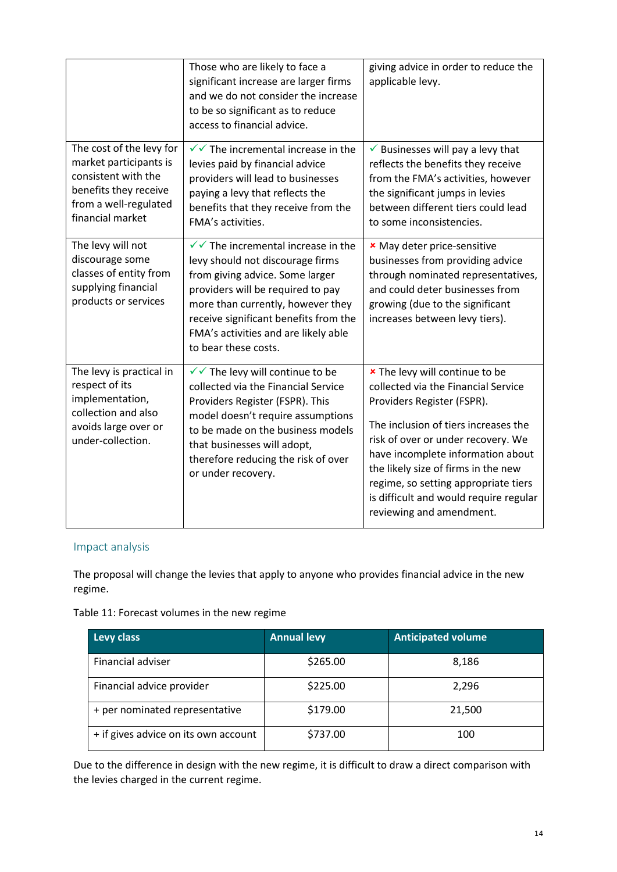|                                                                                                                                                 | Those who are likely to face a<br>significant increase are larger firms<br>and we do not consider the increase<br>to be so significant as to reduce<br>access to financial advice.                                                                                                                         | giving advice in order to reduce the<br>applicable levy.                                                                                                                                                                                                                                                                                                                    |
|-------------------------------------------------------------------------------------------------------------------------------------------------|------------------------------------------------------------------------------------------------------------------------------------------------------------------------------------------------------------------------------------------------------------------------------------------------------------|-----------------------------------------------------------------------------------------------------------------------------------------------------------------------------------------------------------------------------------------------------------------------------------------------------------------------------------------------------------------------------|
| The cost of the levy for<br>market participants is<br>consistent with the<br>benefits they receive<br>from a well-regulated<br>financial market | $\checkmark$ The incremental increase in the<br>levies paid by financial advice<br>providers will lead to businesses<br>paying a levy that reflects the<br>benefits that they receive from the<br>FMA's activities.                                                                                        | $\checkmark$ Businesses will pay a levy that<br>reflects the benefits they receive<br>from the FMA's activities, however<br>the significant jumps in levies<br>between different tiers could lead<br>to some inconsistencies.                                                                                                                                               |
| The levy will not<br>discourage some<br>classes of entity from<br>supplying financial<br>products or services                                   | $\sqrt{\sqrt{}}$ The incremental increase in the<br>levy should not discourage firms<br>from giving advice. Some larger<br>providers will be required to pay<br>more than currently, however they<br>receive significant benefits from the<br>FMA's activities and are likely able<br>to bear these costs. | <b>*</b> May deter price-sensitive<br>businesses from providing advice<br>through nominated representatives,<br>and could deter businesses from<br>growing (due to the significant<br>increases between levy tiers).                                                                                                                                                        |
| The levy is practical in<br>respect of its<br>implementation,<br>collection and also<br>avoids large over or<br>under-collection.               | √ The levy will continue to be<br>collected via the Financial Service<br>Providers Register (FSPR). This<br>model doesn't require assumptions<br>to be made on the business models<br>that businesses will adopt,<br>therefore reducing the risk of over<br>or under recovery.                             | * The levy will continue to be<br>collected via the Financial Service<br>Providers Register (FSPR).<br>The inclusion of tiers increases the<br>risk of over or under recovery. We<br>have incomplete information about<br>the likely size of firms in the new<br>regime, so setting appropriate tiers<br>is difficult and would require regular<br>reviewing and amendment. |

#### Impact analysis

The proposal will change the levies that apply to anyone who provides financial advice in the new regime.

Table 11: Forecast volumes in the new regime

| Levy class                           | <b>Annual levy</b> | <b>Anticipated volume</b> |
|--------------------------------------|--------------------|---------------------------|
| Financial adviser                    | \$265.00           | 8,186                     |
| Financial advice provider            | \$225.00           | 2,296                     |
| + per nominated representative       | \$179.00           | 21,500                    |
| + if gives advice on its own account | \$737.00           | 100                       |

Due to the difference in design with the new regime, it is difficult to draw a direct comparison with the levies charged in the current regime.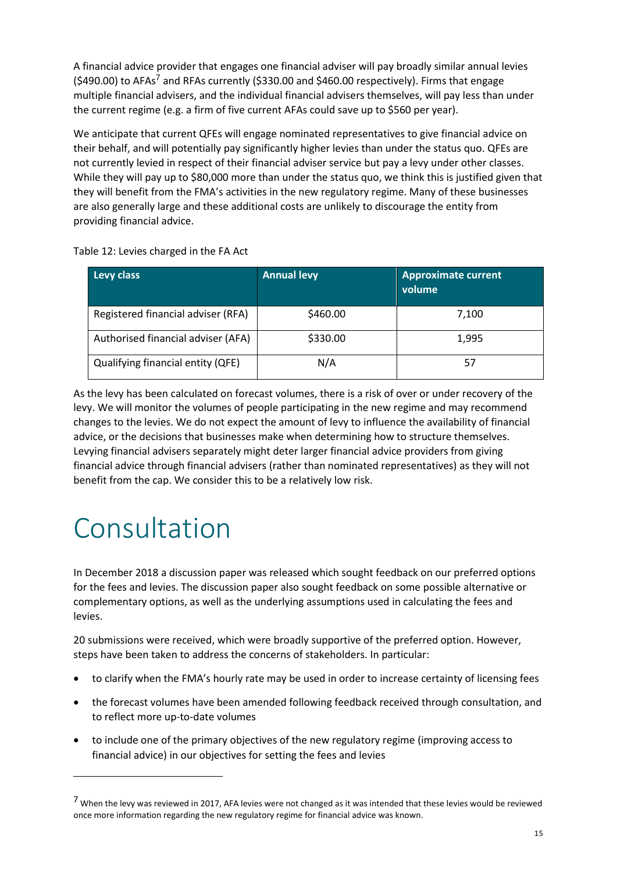A financial advice provider that engages one financial adviser will pay broadly similar annual levies (\$490.00) to AFAs<sup>7</sup> and RFAs currently (\$330.00 and \$460.00 respectively). Firms that engage multiple financial advisers, and the individual financial advisers themselves, will pay less than under the current regime (e.g. a firm of five current AFAs could save up to \$560 per year).

We anticipate that current QFEs will engage nominated representatives to give financial advice on their behalf, and will potentially pay significantly higher levies than under the status quo. QFEs are not currently levied in respect of their financial adviser service but pay a levy under other classes. While they will pay up to \$80,000 more than under the status quo, we think this is justified given that they will benefit from the FMA's activities in the new regulatory regime. Many of these businesses are also generally large and these additional costs are unlikely to discourage the entity from providing financial advice.

Table 12: Levies charged in the FA Act

| Levy class                         | <b>Annual levy</b> | <b>Approximate current</b><br>volume |
|------------------------------------|--------------------|--------------------------------------|
| Registered financial adviser (RFA) | \$460.00           | 7,100                                |
| Authorised financial adviser (AFA) | \$330.00           | 1,995                                |
| Qualifying financial entity (QFE)  | N/A                | 57                                   |

As the levy has been calculated on forecast volumes, there is a risk of over or under recovery of the levy. We will monitor the volumes of people participating in the new regime and may recommend changes to the levies. We do not expect the amount of levy to influence the availability of financial advice, or the decisions that businesses make when determining how to structure themselves. Levying financial advisers separately might deter larger financial advice providers from giving financial advice through financial advisers (rather than nominated representatives) as they will not benefit from the cap. We consider this to be a relatively low risk.

## Consultation

In December 2018 a discussion paper was released which sought feedback on our preferred options for the fees and levies. The discussion paper also sought feedback on some possible alternative or complementary options, as well as the underlying assumptions used in calculating the fees and levies.

20 submissions were received, which were broadly supportive of the preferred option. However, steps have been taken to address the concerns of stakeholders. In particular:

- to clarify when the FMA's hourly rate may be used in order to increase certainty of licensing fees
- the forecast volumes have been amended following feedback received through consultation, and to reflect more up-to-date volumes
- to include one of the primary objectives of the new regulatory regime (improving access to financial advice) in our objectives for setting the fees and levies

<sup>&</sup>lt;sup>7</sup> When the levy was reviewed in 2017, AFA levies were not changed as it was intended that these levies would be reviewed once more information regarding the new regulatory regime for financial advice was known.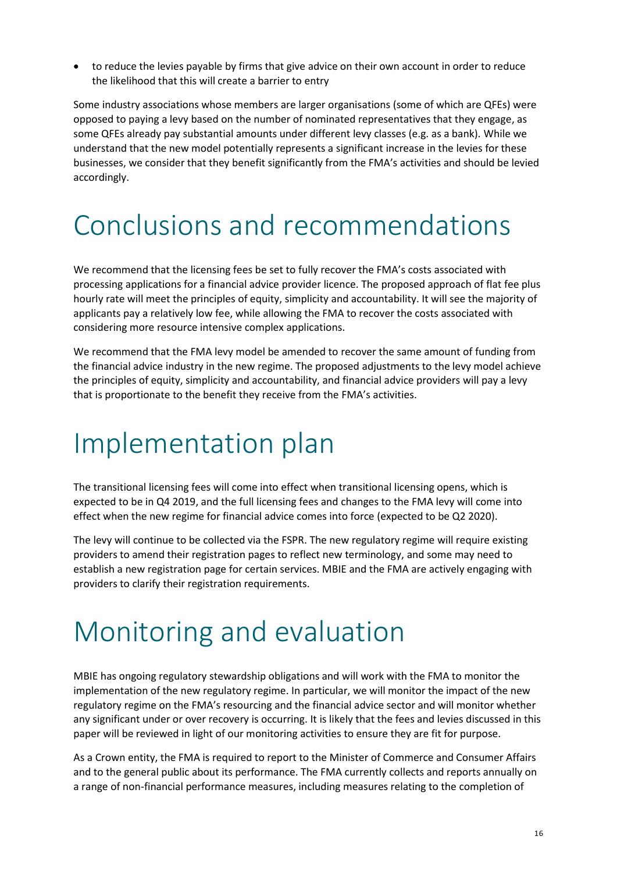to reduce the levies payable by firms that give advice on their own account in order to reduce the likelihood that this will create a barrier to entry

Some industry associations whose members are larger organisations (some of which are QFEs) were opposed to paying a levy based on the number of nominated representatives that they engage, as some QFEs already pay substantial amounts under different levy classes (e.g. as a bank). While we understand that the new model potentially represents a significant increase in the levies for these businesses, we consider that they benefit significantly from the FMA's activities and should be levied accordingly.

## Conclusions and recommendations

We recommend that the licensing fees be set to fully recover the FMA's costs associated with processing applications for a financial advice provider licence. The proposed approach of flat fee plus hourly rate will meet the principles of equity, simplicity and accountability. It will see the majority of applicants pay a relatively low fee, while allowing the FMA to recover the costs associated with considering more resource intensive complex applications.

We recommend that the FMA levy model be amended to recover the same amount of funding from the financial advice industry in the new regime. The proposed adjustments to the levy model achieve the principles of equity, simplicity and accountability, and financial advice providers will pay a levy that is proportionate to the benefit they receive from the FMA's activities.

## Implementation plan

The transitional licensing fees will come into effect when transitional licensing opens, which is expected to be in Q4 2019, and the full licensing fees and changes to the FMA levy will come into effect when the new regime for financial advice comes into force (expected to be Q2 2020).

The levy will continue to be collected via the FSPR. The new regulatory regime will require existing providers to amend their registration pages to reflect new terminology, and some may need to establish a new registration page for certain services. MBIE and the FMA are actively engaging with providers to clarify their registration requirements.

## Monitoring and evaluation

MBIE has ongoing regulatory stewardship obligations and will work with the FMA to monitor the implementation of the new regulatory regime. In particular, we will monitor the impact of the new regulatory regime on the FMA's resourcing and the financial advice sector and will monitor whether any significant under or over recovery is occurring. It is likely that the fees and levies discussed in this paper will be reviewed in light of our monitoring activities to ensure they are fit for purpose.

As a Crown entity, the FMA is required to report to the Minister of Commerce and Consumer Affairs and to the general public about its performance. The FMA currently collects and reports annually on a range of non-financial performance measures, including measures relating to the completion of